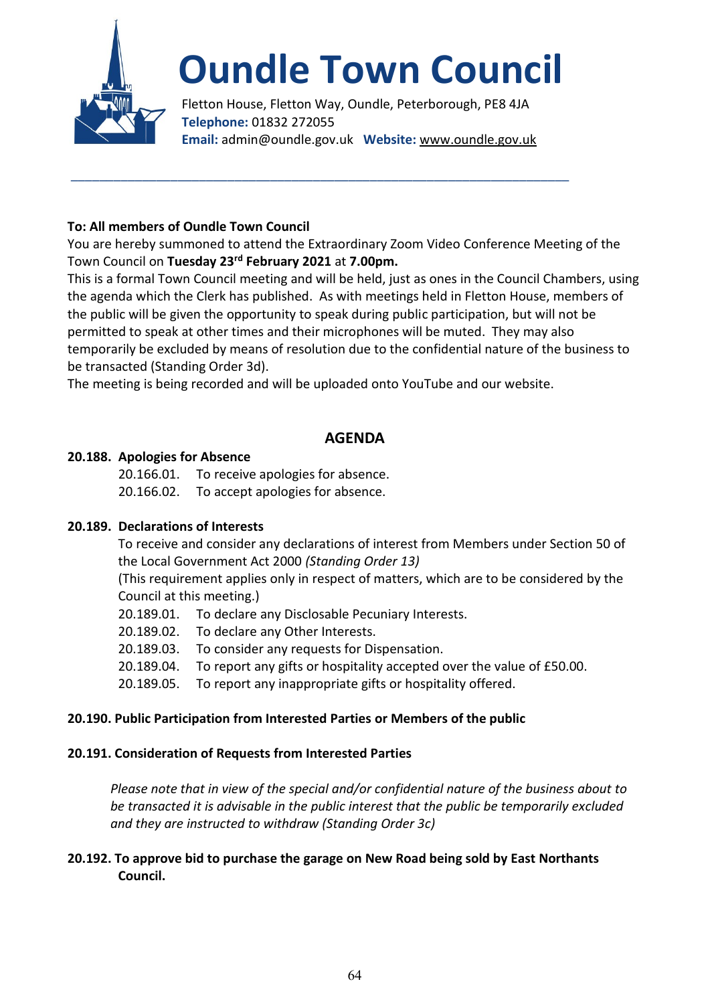

# **Oundle Town Council**

Fletton House, Fletton Way, Oundle, Peterborough, PE8 4JA **Telephone:** 01832 272055 **Email:** admin@oundle.gov.uk **Website:** www.oundle.gov.uk

## **To: All members of Oundle Town Council**

You are hereby summoned to attend the Extraordinary Zoom Video Conference Meeting of the Town Council on **Tuesday 23rd February 2021** at **7.00pm.**

\_\_\_\_\_\_\_\_\_\_\_\_\_\_\_\_\_\_\_\_\_\_\_\_\_\_\_\_\_\_\_\_\_\_\_\_\_\_\_\_\_\_\_\_\_\_\_\_\_\_\_\_\_\_\_\_\_\_\_\_\_\_\_\_\_\_\_\_\_\_

This is a formal Town Council meeting and will be held, just as ones in the Council Chambers, using the agenda which the Clerk has published. As with meetings held in Fletton House, members of the public will be given the opportunity to speak during public participation, but will not be permitted to speak at other times and their microphones will be muted. They may also temporarily be excluded by means of resolution due to the confidential nature of the business to be transacted (Standing Order 3d).

The meeting is being recorded and will be uploaded onto YouTube and our website.

# **AGENDA**

#### **20.188. Apologies for Absence**

20.166.01. To receive apologies for absence. 20.166.02. To accept apologies for absence.

#### **20.189. Declarations of Interests**

To receive and consider any declarations of interest from Members under Section 50 of the Local Government Act 2000 *(Standing Order 13)*

(This requirement applies only in respect of matters, which are to be considered by the Council at this meeting.)

- 20.189.01. To declare any Disclosable Pecuniary Interests.
- 20.189.02. To declare any Other Interests.
- 20.189.03. To consider any requests for Dispensation.
- 20.189.04. To report any gifts or hospitality accepted over the value of £50.00.
- 20.189.05. To report any inappropriate gifts or hospitality offered.

#### **20.190. Public Participation from Interested Parties or Members of the public**

#### **20.191. Consideration of Requests from Interested Parties**

*Please note that in view of the special and/or confidential nature of the business about to be transacted it is advisable in the public interest that the public be temporarily excluded and they are instructed to withdraw (Standing Order 3c)*

## **20.192. To approve bid to purchase the garage on New Road being sold by East Northants Council.**